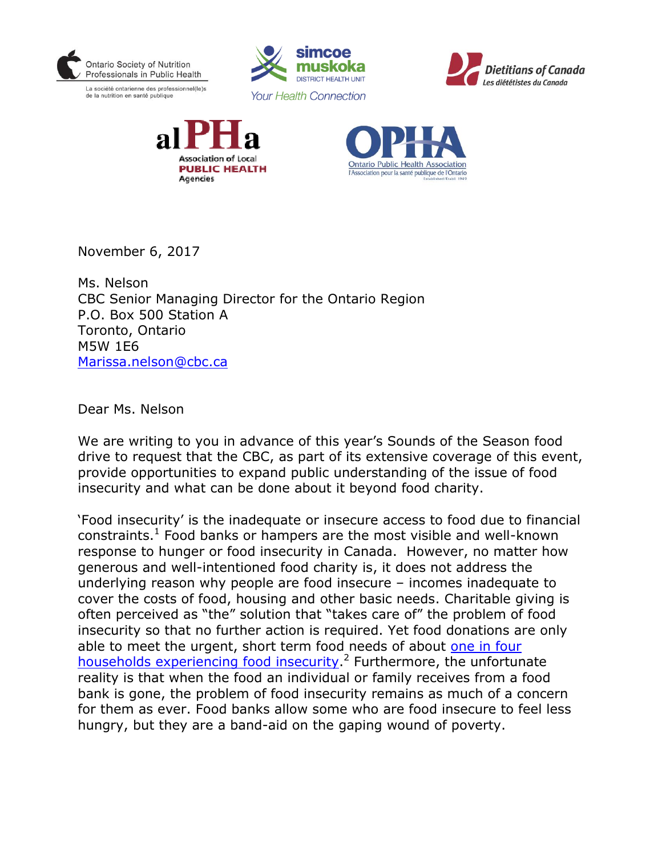

La société ontarienne des professionnel(le)s de la nutrition en santé publique









November 6, 2017

Ms. Nelson CBC Senior Managing Director for the Ontario Region P.O. Box 500 Station A Toronto, Ontario M5W 1E6 [Marissa.nelson@cbc.ca](mailto:Marissa.nelson@cbc.ca)

Dear Ms. Nelson

We are writing to you in advance of this year's Sounds of the Season food drive to request that the CBC, as part of its extensive coverage of this event, provide opportunities to expand public understanding of the issue of food insecurity and what can be done about it beyond food charity.

'Food insecurity' is the inadequate or insecure access to food due to financial constraints. $<sup>1</sup>$  Food banks or hampers are the most visible and well-known</sup> response to hunger or food insecurity in Canada. However, no matter how generous and well-intentioned food charity is, it does not address the underlying reason why people are food insecure – incomes inadequate to cover the costs of food, housing and other basic needs. Charitable giving is often perceived as "the" solution that "takes care of" the problem of food insecurity so that no further action is required. Yet food donations are only able to meet the urgent, short term food needs of about one in four [households experiencing food insecurity.](http://proof.utoronto.ca/food-bank-stats-dont-tell-the-story-of-food-insecurity/)<sup>2</sup> Furthermore, the unfortunate reality is that when the food an individual or family receives from a food bank is gone, the problem of food insecurity remains as much of a concern for them as ever. Food banks allow some who are food insecure to feel less hungry, but they are a band-aid on the gaping wound of poverty.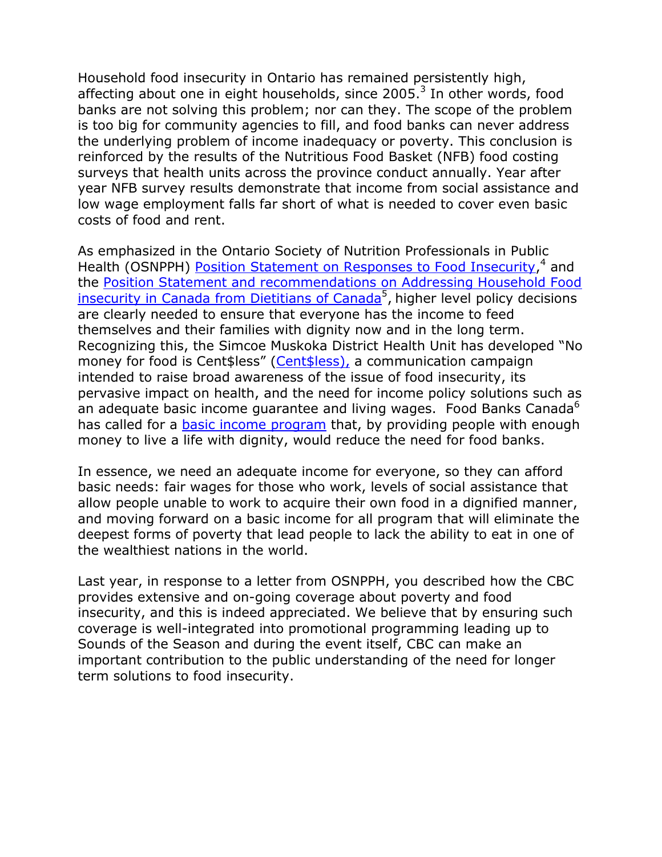Household food insecurity in Ontario has remained persistently high, affecting about one in eight households, since 2005.<sup>3</sup> In other words, food banks are not solving this problem; nor can they. The scope of the problem is too big for community agencies to fill, and food banks can never address the underlying problem of income inadequacy or poverty. This conclusion is reinforced by the results of the Nutritious Food Basket (NFB) food costing surveys that health units across the province conduct annually. Year after year NFB survey results demonstrate that income from social assistance and low wage employment falls far short of what is needed to cover even basic costs of food and rent.

As emphasized in the Ontario Society of Nutrition Professionals in Public Health (OSNPPH) [Position Statement on Responses to Food Insecurity,](https://www.osnpph.on.ca/upload/membership/document/2016-02/position-statement-2015-final.pdf#upload/membership/document/position-statement-2015-final.pdf)<sup>4</sup> and the [Position Statement and recommendations on Addressing Household Food](https://www.dietitians.ca/Downloads/Public/HFI-Position-Statement-and-Recommendations-DC-FINA.aspx)  [insecurity in Canada from Dietitians of Canada](https://www.dietitians.ca/Downloads/Public/HFI-Position-Statement-and-Recommendations-DC-FINA.aspx)<sup>5</sup>, higher level policy decisions are clearly needed to ensure that everyone has the income to feed themselves and their families with dignity now and in the long term. Recognizing this, the Simcoe Muskoka District Health Unit has developed "No money for food is Cent\$less" ([Cent\\$less\)](http://www.simcoemuskokahealth.org/Promos/poverty=hunger), a communication campaign intended to raise broad awareness of the issue of food insecurity, its pervasive impact on health, and the need for income policy solutions such as an adequate basic income guarantee and living wages. Food Banks Canada<sup>6</sup> has called for a [basic income program](https://www.foodbankscanada.ca/Blog/November-2016-(1)/The-Promise-of-a-Basic-Income-in-Canada.aspx?lang=en-CA) that, by providing people with enough money to live a life with dignity, would reduce the need for food banks.

In essence, we need an adequate income for everyone, so they can afford basic needs: fair wages for those who work, levels of social assistance that allow people unable to work to acquire their own food in a dignified manner, and moving forward on a basic income for all program that will eliminate the deepest forms of poverty that lead people to lack the ability to eat in one of the wealthiest nations in the world.

Last year, in response to a letter from OSNPPH, you described how the CBC provides extensive and on-going coverage about poverty and food insecurity, and this is indeed appreciated. We believe that by ensuring such coverage is well-integrated into promotional programming leading up to Sounds of the Season and during the event itself, CBC can make an important contribution to the public understanding of the need for longer term solutions to food insecurity.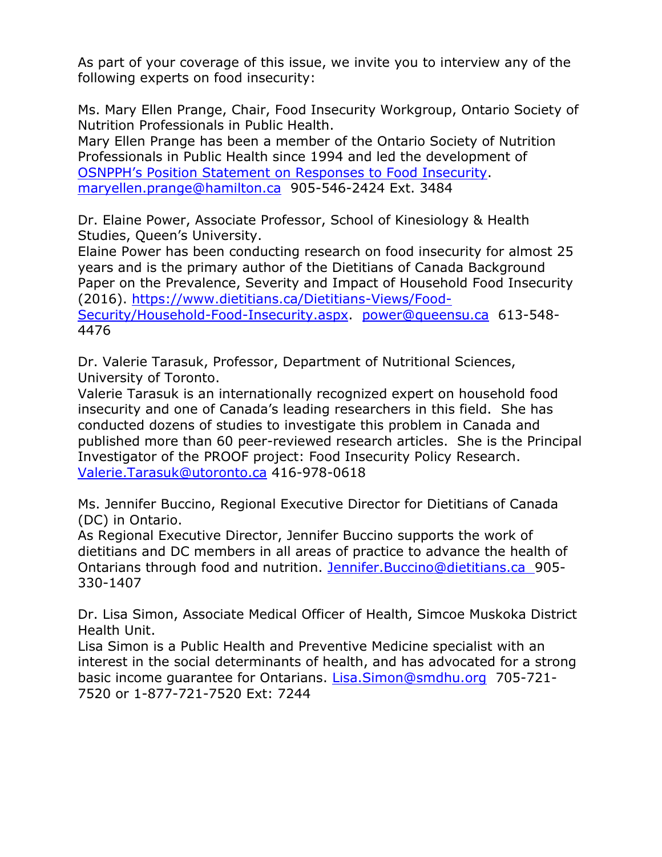As part of your coverage of this issue, we invite you to interview any of the following experts on food insecurity:

Ms. Mary Ellen Prange, Chair, Food Insecurity Workgroup, Ontario Society of Nutrition Professionals in Public Health.

Mary Ellen Prange has been a member of the Ontario Society of Nutrition Professionals in Public Health since 1994 and led the development of [OSNPPH's Position Statement on Responses to Food Insecurity](http://www.osnpph.on.ca/upload/membership/document/2016-02/position-statement-2015-final.pdf). [maryellen.prange@hamilton.ca](mailto:maryellen.prange@hamilton.ca) 905-546-2424 Ext. 3484

Dr. Elaine Power, Associate Professor, School of Kinesiology & Health Studies, Queen's University.

Elaine Power has been conducting research on food insecurity for almost 25 years and is the primary author of the Dietitians of Canada Background Paper on the Prevalence, Severity and Impact of Household Food Insecurity (2016). [https://www.dietitians.ca/Dietitians-Views/Food-](https://www.dietitians.ca/Dietitians-Views/Food-Security/Household-Food-Insecurity.aspx)

[Security/Household-Food-Insecurity.aspx.](https://www.dietitians.ca/Dietitians-Views/Food-Security/Household-Food-Insecurity.aspx) [power@queensu.ca](mailto:power@queensu.ca) 613-548- 4476

Dr. Valerie Tarasuk, Professor, Department of Nutritional Sciences, University of Toronto.

Valerie Tarasuk is an internationally recognized expert on household food insecurity and one of Canada's leading researchers in this field. She has conducted dozens of studies to investigate this problem in Canada and published more than 60 peer-reviewed research articles. She is the Principal Investigator of the PROOF project: Food Insecurity Policy Research. [Valerie.Tarasuk@utoronto.ca](mailto:Valerie.Tarasuk@utoronto.ca) 416-978-0618

Ms. Jennifer Buccino, Regional Executive Director for Dietitians of Canada (DC) in Ontario.

As Regional Executive Director, Jennifer Buccino supports the work of dietitians and DC members in all areas of practice to advance the health of Ontarians through food and nutrition. [Jennifer.Buccino@dietitians.ca](mailto:Jennifer.Buccino@dietitians.ca) 905- 330-1407

Dr. Lisa Simon, Associate Medical Officer of Health, Simcoe Muskoka District Health Unit.

Lisa Simon is a Public Health and Preventive Medicine specialist with an interest in the social determinants of health, and has advocated for a strong basic income guarantee for Ontarians. [Lisa.Simon@smdhu.org](mailto:Lisa.Simon@smdhu.org) 705-721- 7520 or 1-877-721-7520 Ext: 7244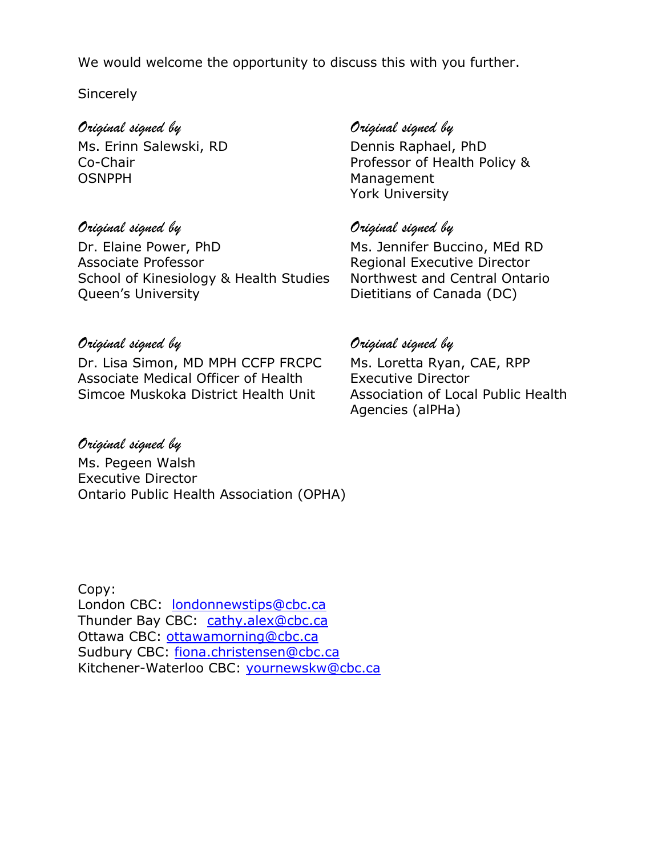We would welcome the opportunity to discuss this with you further.

### **Sincerely**

Ms. Erinn Salewski, RD Dennis Raphael, PhD OSNPPH Management

# *Original signed by Original signed by*

Dr. Elaine Power, PhD Ms. Jennifer Buccino, MEd RD Associate Professor **Regional Executive Director** School of Kinesiology & Health Studies Northwest and Central Ontario Queen's University **Dietitians of Canada (DC)** 

# *Original signed by Original signed by*

Co-Chair **Professor of Health Policy &** York University

# *Original signed by Original signed by*

Dr. Lisa Simon, MD MPH CCFP FRCPC Ms. Loretta Ryan, CAE, RPP Associate Medical Officer of Health Executive Director Simcoe Muskoka District Health Unit Association of Local Public Health

# *Original signed by*

Ms. Pegeen Walsh Executive Director Ontario Public Health Association (OPHA)

Agencies (alPHa)

Copy: London CBC: [londonnewstips@cbc.ca](mailto:londonnewstips@cbc.ca) Thunder Bay CBC: [cathy.alex@cbc.ca](mailto:cathy.alex@cbc.ca) Ottawa CBC: [ottawamorning@cbc.ca](mailto:ottawamorning@cbc.ca) Sudbury CBC: [fiona.christensen@cbc.ca](mailto:fiona.christensen@cbc.ca) Kitchener-Waterloo CBC: [yournewskw@cbc.ca](mailto:yournewskw@cbc.ca)